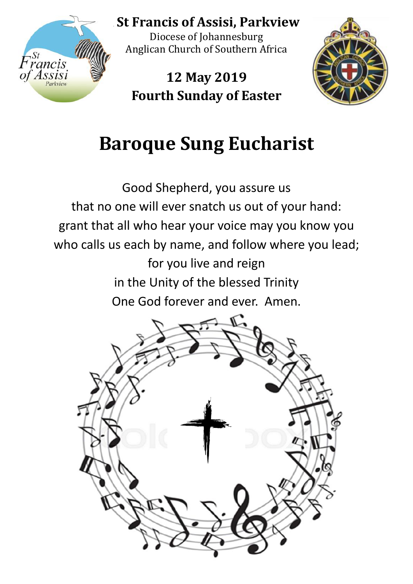

St **St Francis of Assisi, Parkview**

Diocese of Johannesburg Anglican Church of Southern Africa

**12 May 2019 Fourth Sunday of Easter**



# **Baroque Sung Eucharist**

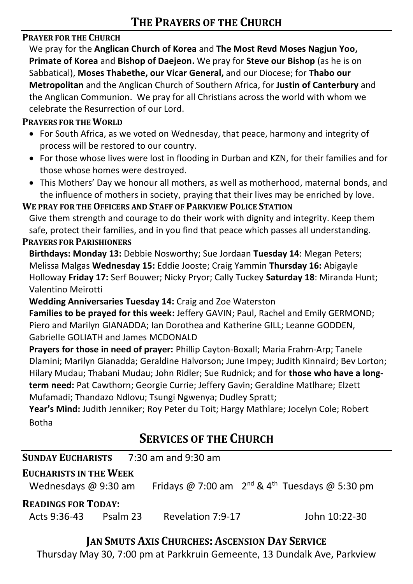#### **PRAYER FOR THE CHURCH**

We pray for the **Anglican Church of Korea** and **The Most Revd Moses Nagjun Yoo, Primate of Korea** and **Bishop of Daejeon.** We pray for **Steve our Bishop** (as he is on Sabbatical), **Moses Thabethe, our Vicar General,** and our Diocese; for **Thabo our Metropolitan** and the Anglican Church of Southern Africa, for **Justin of Canterbury** and the Anglican Communion. We pray for all Christians across the world with whom we celebrate the Resurrection of our Lord.

#### **PRAYERS FOR THE WORLD**

- For South Africa, as we voted on Wednesday, that peace, harmony and integrity of process will be restored to our country.
- For those whose lives were lost in flooding in Durban and KZN, for their families and for those whose homes were destroyed.
- This Mothers' Day we honour all mothers, as well as motherhood, maternal bonds, and the influence of mothers in society, praying that their lives may be enriched by love.

**WE PRAY FOR THE OFFICERS AND STAFF OF PARKVIEW POLICE STATION**

Give them strength and courage to do their work with dignity and integrity. Keep them safe, protect their families, and in you find that peace which passes all understanding.

#### **PRAYERS FOR PARISHIONERS**

**Birthdays: Monday 13:** Debbie Nosworthy; Sue Jordaan **Tuesday 14**: Megan Peters; Melissa Malgas **Wednesday 15:** Eddie Jooste; Craig Yammin **Thursday 16:** Abigayle Holloway **Friday 17:** Serf Bouwer; Nicky Pryor; Cally Tuckey **Saturday 18**: Miranda Hunt; Valentino Meirotti

**Wedding Anniversaries Tuesday 14:** Craig and Zoe Waterston

**Families to be prayed for this week:** Jeffery GAVIN; Paul, Rachel and Emily GERMOND; Piero and Marilyn GIANADDA; Ian Dorothea and Katherine GILL; Leanne GODDEN, Gabrielle GOLIATH and James MCDONALD

**Prayers for those in need of prayer:** Phillip Cayton-Boxall; Maria Frahm-Arp; Tanele Dlamini; Marilyn Gianadda; Geraldine Halvorson; June Impey; Judith Kinnaird; Bev Lorton; Hilary Mudau; Thabani Mudau; John Ridler; Sue Rudnick; and for **those who have a longterm need:** Pat Cawthorn; Georgie Currie; Jeffery Gavin; Geraldine Matlhare; Elzett Mufamadi; Thandazo Ndlovu; Tsungi Ngwenya; Dudley Spratt;

**Year's Mind:** Judith Jenniker; Roy Peter du Toit; Hargy Mathlare; Jocelyn Cole; Robert Botha

# **SERVICES OF THE CHURCH**

| <b>SUNDAY EUCHARISTS</b> | $7:30$ am and 9:30 am |
|--------------------------|-----------------------|
|                          |                       |

#### **EUCHARISTS IN THE WEEK**

Wednesdays @ 9:30 am Fridays @ 7:00 am  $2^{nd}$  & 4<sup>th</sup> Tuesdays @ 5:30 pm

#### **READINGS FOR TODAY:**

Acts 9:36-43 Psalm 23 Revelation 7:9-17 John 10:22-30

## **JAN SMUTS AXIS CHURCHES: ASCENSION DAY SERVICE**

Thursday May 30, 7:00 pm at Parkkruin Gemeente, 13 Dundalk Ave, Parkview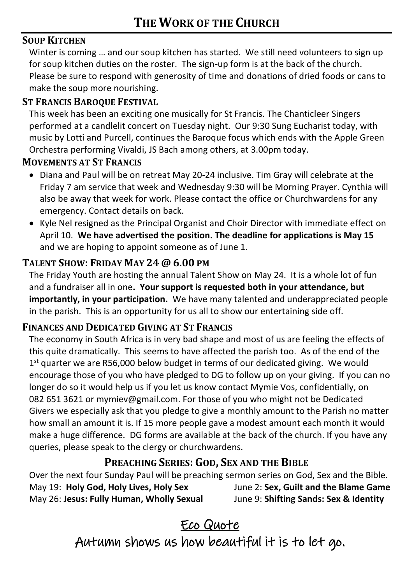#### **SOUP KITCHEN**

Winter is coming ... and our soup kitchen has started. We still need volunteers to sign up for soup kitchen duties on the roster. The sign-up form is at the back of the church. Please be sure to respond with generosity of time and donations of dried foods or cans to make the soup more nourishing.

#### **ST FRANCIS BAROQUE FESTIVAL**

This week has been an exciting one musically for St Francis. The Chanticleer Singers performed at a candlelit concert on Tuesday night. Our 9:30 Sung Eucharist today, with music by Lotti and Purcell, continues the Baroque focus which ends with the Apple Green Orchestra performing Vivaldi, JS Bach among others, at 3.00pm today.

#### **MOVEMENTS AT ST FRANCIS**

- Diana and Paul will be on retreat May 20-24 inclusive. Tim Gray will celebrate at the Friday 7 am service that week and Wednesday 9:30 will be Morning Prayer. Cynthia will also be away that week for work. Please contact the office or Churchwardens for any emergency. Contact details on back.
- Kyle Nel resigned as the Principal Organist and Choir Director with immediate effect on April 10. **We have advertised the position. The deadline for applications is May 15** and we are hoping to appoint someone as of June 1.

### **TALENT SHOW: FRIDAY MAY 24 @ 6.00 PM**

The Friday Youth are hosting the annual Talent Show on May 24. It is a whole lot of fun and a fundraiser all in one**. Your support is requested both in your attendance, but importantly, in your participation.** We have many talented and underappreciated people in the parish. This is an opportunity for us all to show our entertaining side off.

#### **FINANCES AND DEDICATED GIVING AT ST FRANCIS**

The economy in South Africa is in very bad shape and most of us are feeling the effects of this quite dramatically. This seems to have affected the parish too. As of the end of the 1<sup>st</sup> quarter we are R56,000 below budget in terms of our dedicated giving. We would encourage those of you who have pledged to DG to follow up on your giving. If you can no longer do so it would help us if you let us know contact Mymie Vos, confidentially, on 082 651 3621 or mymiev@gmail.com. For those of you who might not be Dedicated Givers we especially ask that you pledge to give a monthly amount to the Parish no matter how small an amount it is. If 15 more people gave a modest amount each month it would make a huge difference. DG forms are available at the back of the church. If you have any queries, please speak to the clergy or churchwardens.

## **PREACHING SERIES: GOD, SEX AND THE BIBLE**

Over the next four Sunday Paul will be preaching sermon series on God, Sex and the Bible. May 19: **Holy God, Holy Lives, Holy Sex** June 2: **Sex, Guilt and the Blame Game** May 26: **Jesus: Fully Human, Wholly Sexual** June 9: **Shifting Sands: Sex & Identity**

# Eco Quote Autumn shows us how beautiful it is to let go.